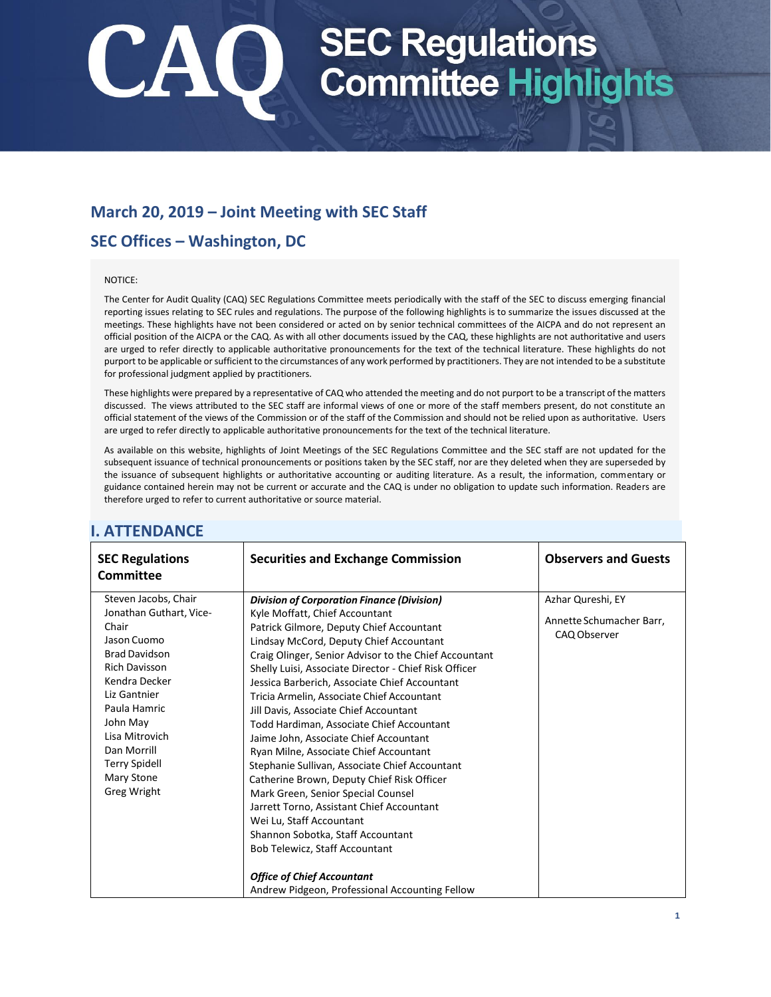## **March 20, 2019 – Joint Meeting with SEC Staff**

## **SEC Offices – Washington, DC**

#### NOTICE:

The Center for Audit Quality (CAQ) SEC Regulations Committee meets periodically with the staff of the SEC to discuss emerging financial reporting issues relating to SEC rules and regulations. The purpose of the following highlights is to summarize the issues discussed at the meetings. These highlights have not been considered or acted on by senior technical committees of the AICPA and do not represent an official position of the AICPA or the CAQ. As with all other documents issued by the CAQ, these highlights are not authoritative and users are urged to refer directly to applicable authoritative pronouncements for the text of the technical literature. These highlights do not purport to be applicable or sufficient to the circumstances of any work performed by practitioners. They are not intended to be a substitute for professional judgment applied by practitioners.

These highlights were prepared by a representative of CAQ who attended the meeting and do not purport to be a transcript of the matters discussed. The views attributed to the SEC staff are informal views of one or more of the staff members present, do not constitute an official statement of the views of the Commission or of the staff of the Commission and should not be relied upon as authoritative. Users are urged to refer directly to applicable authoritative pronouncements for the text of the technical literature.

As available on this website, highlights of Joint Meetings of the SEC Regulations Committee and the SEC staff are not updated for the subsequent issuance of technical pronouncements or positions taken by the SEC staff, nor are they deleted when they are superseded by the issuance of subsequent highlights or authoritative accounting or auditing literature. As a result, the information, commentary or guidance contained herein may not be current or accurate and the CAQ is under no obligation to update such information. Readers are therefore urged to refer to current authoritative or source material.

| <b>SEC Regulations</b><br><b>Committee</b>                                                                                                                                                                                                                                 | <b>Securities and Exchange Commission</b>                                                                                                                                                                                                                                                                                                                                                                                                                                                                                                                                                                                                                                                                                                                                                                                                                                                                                                           | <b>Observers and Guests</b>                                   |
|----------------------------------------------------------------------------------------------------------------------------------------------------------------------------------------------------------------------------------------------------------------------------|-----------------------------------------------------------------------------------------------------------------------------------------------------------------------------------------------------------------------------------------------------------------------------------------------------------------------------------------------------------------------------------------------------------------------------------------------------------------------------------------------------------------------------------------------------------------------------------------------------------------------------------------------------------------------------------------------------------------------------------------------------------------------------------------------------------------------------------------------------------------------------------------------------------------------------------------------------|---------------------------------------------------------------|
| Steven Jacobs, Chair<br>Jonathan Guthart, Vice-<br>Chair<br>Jason Cuomo<br><b>Brad Davidson</b><br><b>Rich Davisson</b><br>Kendra Decker<br>Liz Gantnier<br>Paula Hamric<br>John May<br>Lisa Mitrovich<br>Dan Morrill<br><b>Terry Spidell</b><br>Mary Stone<br>Greg Wright | <b>Division of Corporation Finance (Division)</b><br>Kyle Moffatt, Chief Accountant<br>Patrick Gilmore, Deputy Chief Accountant<br>Lindsay McCord, Deputy Chief Accountant<br>Craig Olinger, Senior Advisor to the Chief Accountant<br>Shelly Luisi, Associate Director - Chief Risk Officer<br>Jessica Barberich, Associate Chief Accountant<br>Tricia Armelin, Associate Chief Accountant<br>Jill Davis, Associate Chief Accountant<br>Todd Hardiman, Associate Chief Accountant<br>Jaime John, Associate Chief Accountant<br>Ryan Milne, Associate Chief Accountant<br>Stephanie Sullivan, Associate Chief Accountant<br>Catherine Brown, Deputy Chief Risk Officer<br>Mark Green, Senior Special Counsel<br>Jarrett Torno, Assistant Chief Accountant<br>Wei Lu, Staff Accountant<br>Shannon Sobotka, Staff Accountant<br>Bob Telewicz, Staff Accountant<br><b>Office of Chief Accountant</b><br>Andrew Pidgeon, Professional Accounting Fellow | Azhar Qureshi, EY<br>Annette Schumacher Barr,<br>CAQ Observer |

### **I. ATTENDANCE**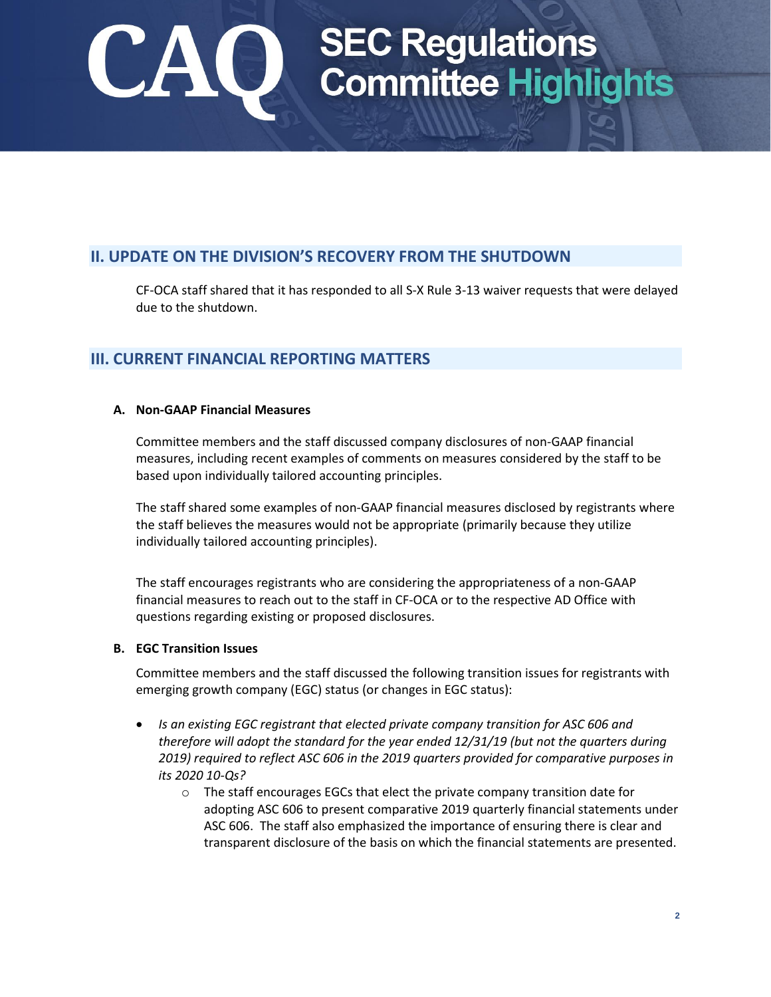## **II. UPDATE ON THE DIVISION'S RECOVERY FROM THE SHUTDOWN**

CF-OCA staff shared that it has responded to all S-X Rule 3-13 waiver requests that were delayed due to the shutdown.

### **III. CURRENT FINANCIAL REPORTING MATTERS**

### **A. Non-GAAP Financial Measures**

Committee members and the staff discussed company disclosures of non-GAAP financial measures, including recent examples of comments on measures considered by the staff to be based upon individually tailored accounting principles.

The staff shared some examples of non-GAAP financial measures disclosed by registrants where the staff believes the measures would not be appropriate (primarily because they utilize individually tailored accounting principles).

The staff encourages registrants who are considering the appropriateness of a non-GAAP financial measures to reach out to the staff in CF-OCA or to the respective AD Office with questions regarding existing or proposed disclosures.

### **B. EGC Transition Issues**

Committee members and the staff discussed the following transition issues for registrants with emerging growth company (EGC) status (or changes in EGC status):

- *Is an existing EGC registrant that elected private company transition for ASC 606 and therefore will adopt the standard for the year ended 12/31/19 (but not the quarters during 2019) required to reflect ASC 606 in the 2019 quarters provided for comparative purposes in its 2020 10-Qs?* 
	- o The staff encourages EGCs that elect the private company transition date for adopting ASC 606 to present comparative 2019 quarterly financial statements under ASC 606. The staff also emphasized the importance of ensuring there is clear and transparent disclosure of the basis on which the financial statements are presented.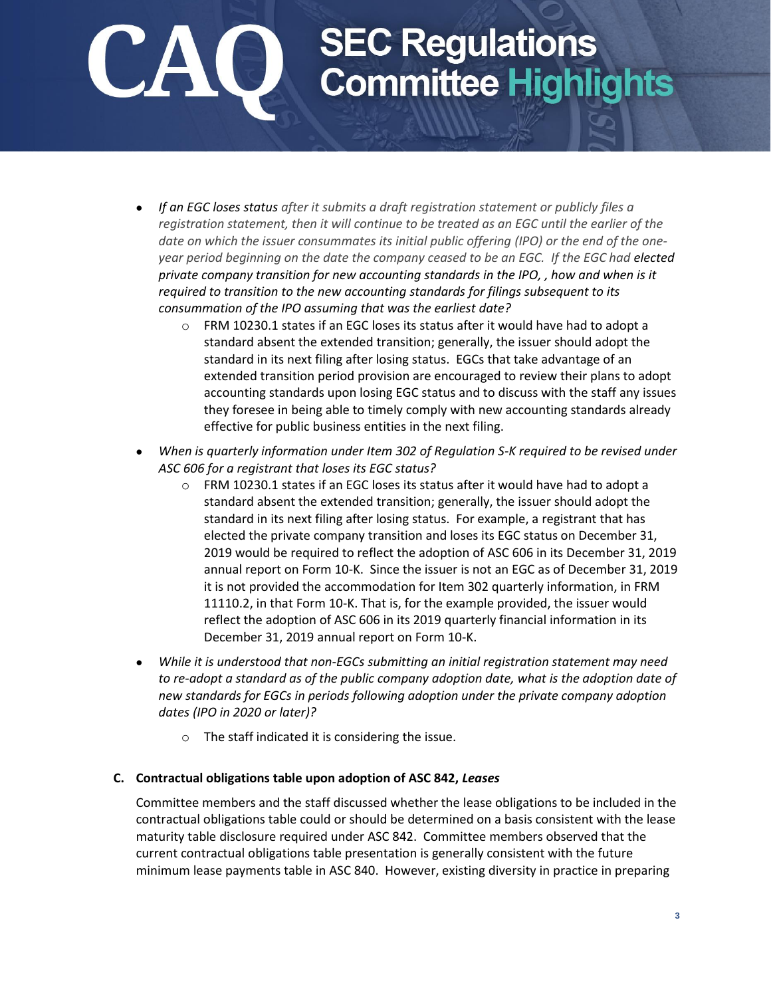- *If an EGC loses status after it submits a draft registration statement or publicly files a registration statement, then it will continue to be treated as an EGC until the earlier of the date on which the issuer consummates its initial public offering (IPO) or the end of the oneyear period beginning on the date the company ceased to be an EGC. If the EGC had elected private company transition for new accounting standards in the IPO, , how and when is it required to transition to the new accounting standards for filings subsequent to its consummation of the IPO assuming that was the earliest date?*
	- o FRM 10230.1 states if an EGC loses its status after it would have had to adopt a standard absent the extended transition; generally, the issuer should adopt the standard in its next filing after losing status. EGCs that take advantage of an extended transition period provision are encouraged to review their plans to adopt accounting standards upon losing EGC status and to discuss with the staff any issues they foresee in being able to timely comply with new accounting standards already effective for public business entities in the next filing.
- *When is quarterly information under Item 302 of Regulation S-K required to be revised under ASC 606 for a registrant that loses its EGC status?* 
	- o FRM 10230.1 states if an EGC loses its status after it would have had to adopt a standard absent the extended transition; generally, the issuer should adopt the standard in its next filing after losing status. For example, a registrant that has elected the private company transition and loses its EGC status on December 31, 2019 would be required to reflect the adoption of ASC 606 in its December 31, 2019 annual report on Form 10-K. Since the issuer is not an EGC as of December 31, 2019 it is not provided the accommodation for Item 302 quarterly information, in FRM 11110.2, in that Form 10-K. That is, for the example provided, the issuer would reflect the adoption of ASC 606 in its 2019 quarterly financial information in its December 31, 2019 annual report on Form 10-K.
- *While it is understood that non-EGCs submitting an initial registration statement may need to re-adopt a standard as of the public company adoption date, what is the adoption date of new standards for EGCs in periods following adoption under the private company adoption dates (IPO in 2020 or later)?* 
	- o The staff indicated it is considering the issue.

### **C. Contractual obligations table upon adoption of ASC 842,** *Leases*

Committee members and the staff discussed whether the lease obligations to be included in the contractual obligations table could or should be determined on a basis consistent with the lease maturity table disclosure required under ASC 842. Committee members observed that the current contractual obligations table presentation is generally consistent with the future minimum lease payments table in ASC 840. However, existing diversity in practice in preparing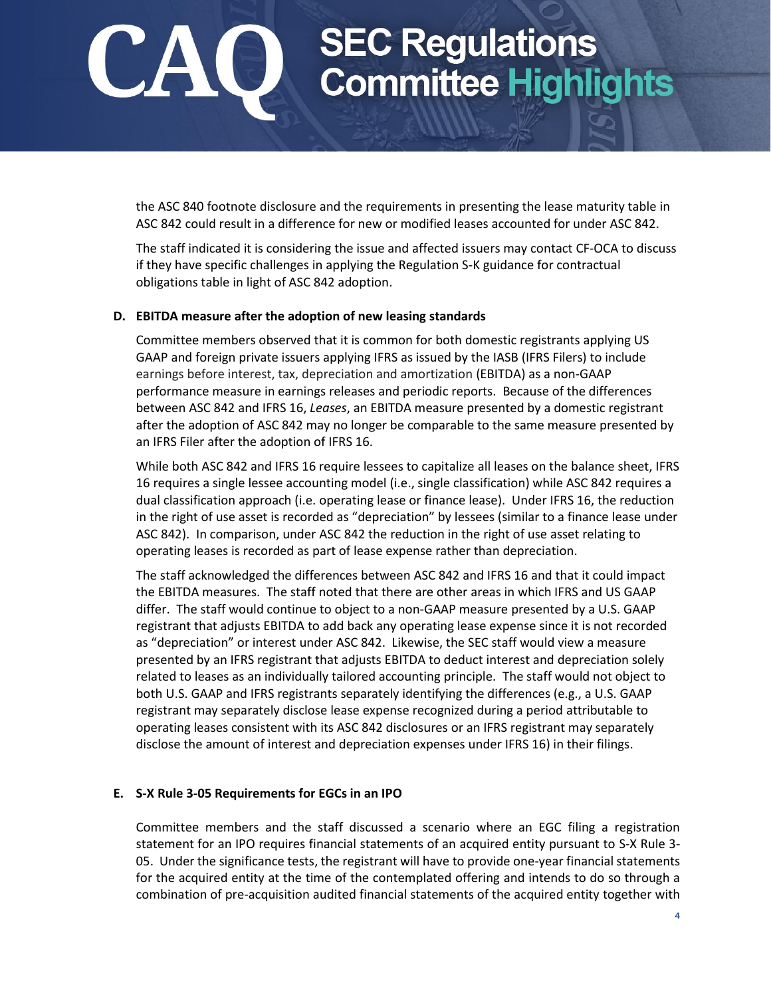the ASC 840 footnote disclosure and the requirements in presenting the lease maturity table in ASC 842 could result in a difference for new or modified leases accounted for under ASC 842.

The staff indicated it is considering the issue and affected issuers may contact CF-OCA to discuss if they have specific challenges in applying the Regulation S-K guidance for contractual obligations table in light of ASC 842 adoption.

### **D. EBITDA measure after the adoption of new leasing standards**

Committee members observed that it is common for both domestic registrants applying US GAAP and foreign private issuers applying IFRS as issued by the IASB (IFRS Filers) to include earnings before interest, tax, depreciation and amortization (EBITDA) as a non-GAAP performance measure in earnings releases and periodic reports. Because of the differences between ASC 842 and IFRS 16, *Leases*, an EBITDA measure presented by a domestic registrant after the adoption of ASC 842 may no longer be comparable to the same measure presented by an IFRS Filer after the adoption of IFRS 16.

While both ASC 842 and IFRS 16 require lessees to capitalize all leases on the balance sheet, IFRS 16 requires a single lessee accounting model (i.e., single classification) while ASC 842 requires a dual classification approach (i.e. operating lease or finance lease). Under IFRS 16, the reduction in the right of use asset is recorded as "depreciation" by lessees (similar to a finance lease under ASC 842). In comparison, under ASC 842 the reduction in the right of use asset relating to operating leases is recorded as part of lease expense rather than depreciation.

The staff acknowledged the differences between ASC 842 and IFRS 16 and that it could impact the EBITDA measures. The staff noted that there are other areas in which IFRS and US GAAP differ. The staff would continue to object to a non-GAAP measure presented by a U.S. GAAP registrant that adjusts EBITDA to add back any operating lease expense since it is not recorded as "depreciation" or interest under ASC 842. Likewise, the SEC staff would view a measure presented by an IFRS registrant that adjusts EBITDA to deduct interest and depreciation solely related to leases as an individually tailored accounting principle. The staff would not object to both U.S. GAAP and IFRS registrants separately identifying the differences (e.g., a U.S. GAAP registrant may separately disclose lease expense recognized during a period attributable to operating leases consistent with its ASC 842 disclosures or an IFRS registrant may separately disclose the amount of interest and depreciation expenses under IFRS 16) in their filings.

### **E. S-X Rule 3-05 Requirements for EGCs in an IPO**

Committee members and the staff discussed a scenario where an EGC filing a registration statement for an IPO requires financial statements of an acquired entity pursuant to S-X Rule 3- 05. Under the significance tests, the registrant will have to provide one-year financial statements for the acquired entity at the time of the contemplated offering and intends to do so through a combination of pre-acquisition audited financial statements of the acquired entity together with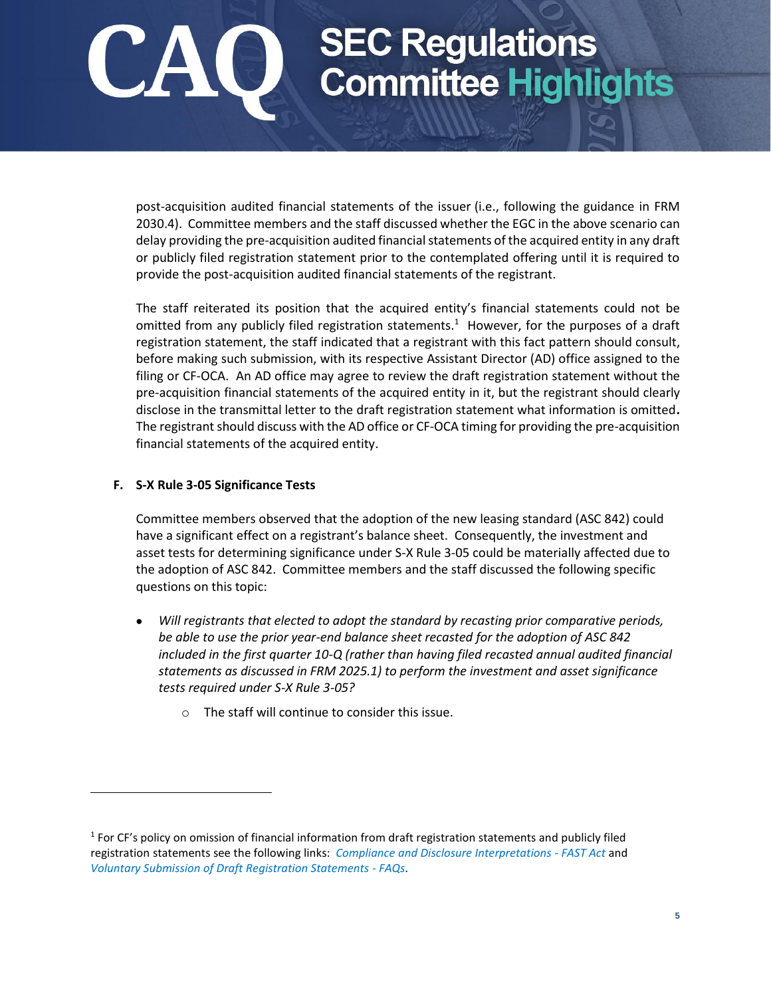post-acquisition audited financial statements of the issuer (i.e., following the guidance in FRM 2030.4). Committee members and the staff discussed whether the EGC in the above scenario can delay providing the pre-acquisition audited financial statements of the acquired entity in any draft or publicly filed registration statement prior to the contemplated offering until it is required to provide the post-acquisition audited financial statements of the registrant.

The staff reiterated its position that the acquired entity's financial statements could not be omitted from any publicly filed registration statements.<sup>1</sup> However, for the purposes of a draft registration statement, the staff indicated that a registrant with this fact pattern should consult, before making such submission, with its respective Assistant Director (AD) office assigned to the filing or CF-OCA. An AD office may agree to review the draft registration statement without the pre-acquisition financial statements of the acquired entity in it, but the registrant should clearly disclose in the transmittal letter to the draft registration statement what information is omitted**.** The registrant should discuss with the AD office or CF-OCA timing for providing the pre-acquisition financial statements of the acquired entity.

### **F. S-X Rule 3-05 Significance Tests**

 $\overline{a}$ 

Committee members observed that the adoption of the new leasing standard (ASC 842) could have a significant effect on a registrant's balance sheet. Consequently, the investment and asset tests for determining significance under S-X Rule 3-05 could be materially affected due to the adoption of ASC 842. Committee members and the staff discussed the following specific questions on this topic:

- *Will registrants that elected to adopt the standard by recasting prior comparative periods, be able to use the prior year-end balance sheet recasted for the adoption of ASC 842 included in the first quarter 10-Q (rather than having filed recasted annual audited financial statements as discussed in FRM 2025.1) to perform the investment and asset significance tests required under S-X Rule 3-05?* 
	- o The staff will continue to consider this issue.

<sup>&</sup>lt;sup>1</sup> For CF's policy on omission of financial information from draft registration statements and publicly filed registration statements see the following links: *[Compliance and Disclosure Interpretations -](https://www.sec.gov/divisions/corpfin/guidance/fast-act-interps.htm) FAST Act* and *[Voluntary Submission of Draft Registration Statements -](https://www.sec.gov/corpfin/voluntary-submission-draft-registration-statements-faqs) FAQs*.